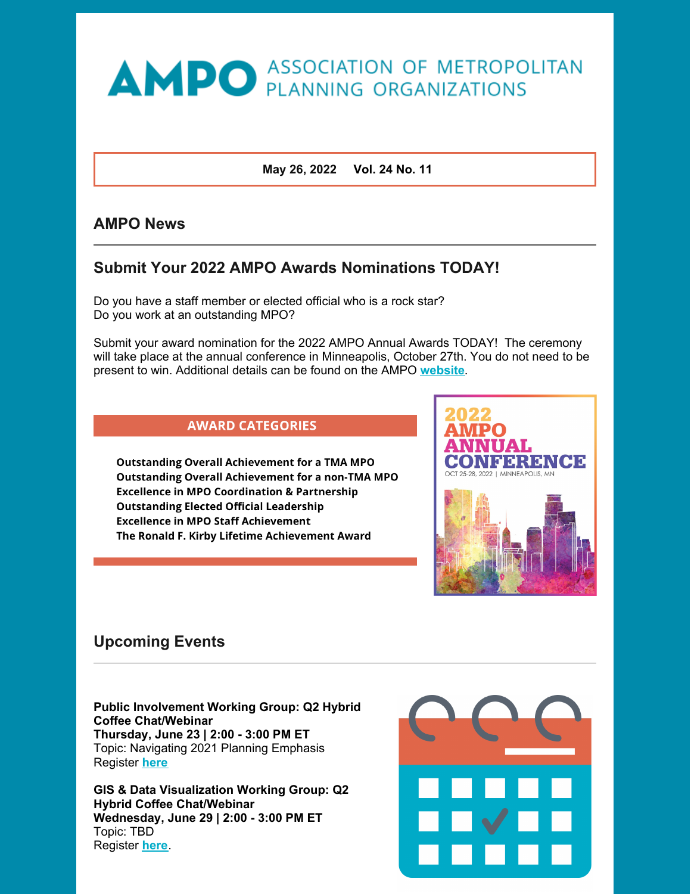# **AMPO** ASSOCIATION OF METROPOLITAN

**May 26, 2022 Vol. 24 No. 11**

## **AMPO News**

# **Submit Your 2022 AMPO Awards Nominations TODAY!**

Do you have a staff member or elected official who is a rock star? Do you work at an outstanding MPO?

Submit your award nomination for the 2022 AMPO Annual Awards TODAY! The ceremony will take place at the annual conference in Minneapolis, October 27th. You do not need to be present to win. Additional details can be found on the AMPO **[website](https://ampo.org/news-events/ampo-annual-conference/)**.



**Outstanding Overall Achievement for a TMA MPO Outstanding Overall Achievement for a non-TMA MPO Excellence in MPO Coordination & Partnership Outstanding Elected Official Leadership Excellence in MPO Staff Achievement** The Ronald F. Kirby Lifetime Achievement Award



# **Upcoming Events**

**Public Involvement Working Group: Q2 Hybrid Coffee Chat/Webinar Thursday, June 23 | 2:00 - 3:00 PM ET** Topic: Navigating 2021 Planning Emphasis Register **[here](https://us06web.zoom.us/meeting/register/tZIuc-Cgrj8sG9aEstDGT1kVETjjwcXWq028)**

**GIS & Data Visualization Working Group: Q2 Hybrid Coffee Chat/Webinar Wednesday, June 29 | 2:00 - 3:00 PM ET** Topic: TBD Register **[here](https://us06web.zoom.us/meeting/register/tZYldeCrrz0rH9UPCVoOyd8mTf5huisKeDXw)**.

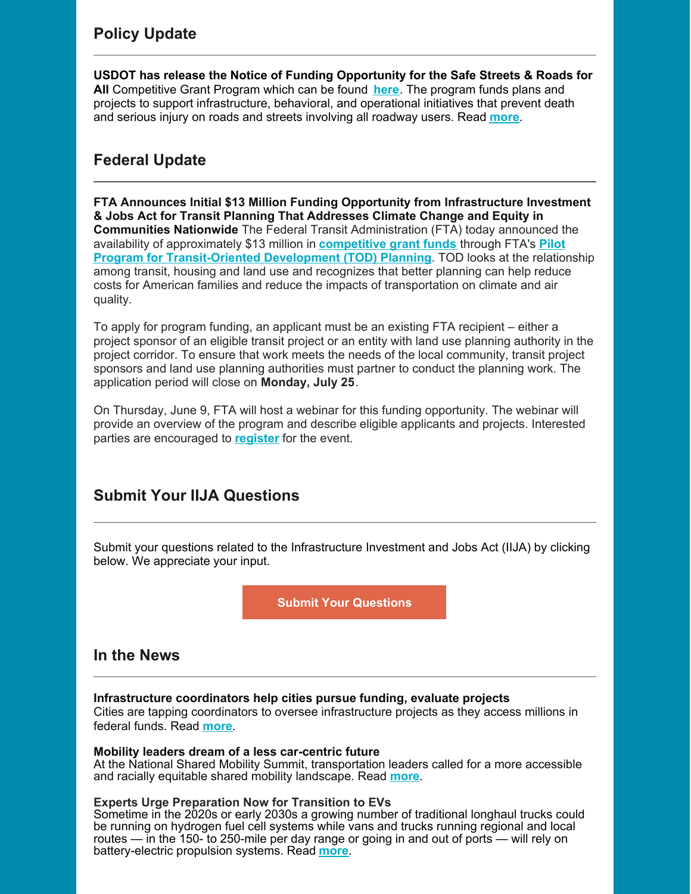**USDOT has release the Notice of Funding Opportunity for the Safe Streets & Roads for All** Competitive Grant Program which can be found **[here](https://www.govinfo.gov/content/pkg/FR-2022-05-24/pdf/2022-11113.pdf)**. The program funds plans and projects to support infrastructure, behavioral, and operational initiatives that prevent death and serious injury on roads and streets involving all roadway users. Read **[more](https://myampo.org/resources/Documents/Newsletter 5 26 22.pdf)**.

# **Federal Update**

**FTA Announces Initial \$13 Million Funding Opportunity from Infrastructure Investment & Jobs Act for Transit Planning That Addresses Climate Change and Equity in Communities Nationwide** The Federal Transit Administration (FTA) today announced the availability of approximately \$13 million in **[competitive](https://lnks.gd/l/eyJhbGciOiJIUzI1NiJ9.eyJidWxsZXRpbl9saW5rX2lkIjoxMDAsInVyaSI6ImJwMjpjbGljayIsImJ1bGxldGluX2lkIjoiMjAyMjA1MjYuNTg0OTUyMDEiLCJ1cmwiOiJodHRwczovL3d3dy50cmFuc2l0LmRvdC5nb3Yvbm90aWNlcy1mdW5kaW5nL3BpbG90LXByb2dyYW0tdHJhbnNpdC1vcmllbnRlZC1kZXZlbG9wbWVudC1wbGFubmluZy1meTIwMjItbm90aWNlLWZ1bmRpbmcifQ.fwTth2pFHch59-UvQGyzlimcoEQO92hpX9_uJZSfKfY/s/551997656/br/131955621340-l) grant funds** through FTA's **Pilot Program for [Transit-Oriented](https://lnks.gd/l/eyJhbGciOiJIUzI1NiJ9.eyJidWxsZXRpbl9saW5rX2lkIjoxMDEsInVyaSI6ImJwMjpjbGljayIsImJ1bGxldGluX2lkIjoiMjAyMjA1MjYuNTg0OTUyMDEiLCJ1cmwiOiJodHRwczovL3d3dy50cmFuc2l0LmRvdC5nb3YvVE9EUGlsb3QifQ.YjF7HgpceqaLP4AYEqVTpwNh1d_wUdxCIrqZowv9CXg/s/551997656/br/131955621340-l) Development (TOD) Planning**. TOD looks at the relationship among transit, housing and land use and recognizes that better planning can help reduce costs for American families and reduce the impacts of transportation on climate and air quality.

To apply for program funding, an applicant must be an existing FTA recipient – either a project sponsor of an eligible transit project or an entity with land use planning authority in the project corridor. To ensure that work meets the needs of the local community, transit project sponsors and land use planning authorities must partner to conduct the planning work. The application period will close on **Monday, July 25**.

On Thursday, June 9, FTA will host a webinar for this funding opportunity. The webinar will provide an overview of the program and describe eligible applicants and projects. Interested parties are encouraged to **[register](https://lnks.gd/l/eyJhbGciOiJIUzI1NiJ9.eyJidWxsZXRpbl9saW5rX2lkIjoxMDIsInVyaSI6ImJwMjpjbGljayIsImJ1bGxldGluX2lkIjoiMjAyMjA1MjYuNTg0OTUyMDEiLCJ1cmwiOiJodHRwczovL3VzZG90Lnpvb21nb3YuY29tL3dlYmluYXIvcmVnaXN0ZXIvV05fYmpQRktpX3JRVVdiWlRIMTJZYmpxQSJ9.flIBS2wmcCXOP4K1Kx7XzGNmR2f-0fwfbxJo3rkJvj8/s/551997656/br/131955621340-l)** for the event.

# **Submit Your IIJA Questions**

Submit your questions related to the Infrastructure Investment and Jobs Act (IIJA) by clicking below. We appreciate your input.

**Submit Your [Questions](https://ampo.org/policy/infrastructure-investment-and-jobs-act-iija/iija-legislation-questions)**

# **In the News**

#### **Infrastructure coordinators help cities pursue funding, evaluate projects**

Cities are tapping coordinators to oversee infrastructure projects as they access millions in federal funds. Read **[more](https://www.smartcitiesdive.com/news/infrastructure-coordinators-help-cities-pursue-funding-evaluate-projects/624212/?utm_source=Sailthru&utm_medium=email&utm_campaign=Issue: 2022-05-24 Smart Cities Dive Newsletter %5Bissue:41967%5D&utm_term=Smart Cities Dive)**.

#### **Mobility leaders dream of a less car-centric future**

At the National Shared Mobility Summit, transportation leaders called for a more accessible and racially equitable shared mobility landscape. Read **[more](https://www.smartcitiesdive.com/news/shared-mobility-leaders-less-car-centric-future-/624166/?utm_source=Sailthru&utm_medium=email&utm_campaign=Issue: 2022-05-24 Smart Cities Dive Newsletter %5Bissue:41967%5D&utm_term=Smart Cities Dive)**.

#### **Experts Urge Preparation Now for Transition to EVs**

Sometime in the 2020s or early 2030s a growing number of traditional longhaul trucks could be running on hydrogen fuel cell systems while vans and trucks running regional and local routes — in the 150- to 250-mile per day range or going in and out of ports — will rely on battery-electric propulsion systems. Read **[more](https://www.ttnews.com/articles/experts-urge-preparation-now-transition-evs)**.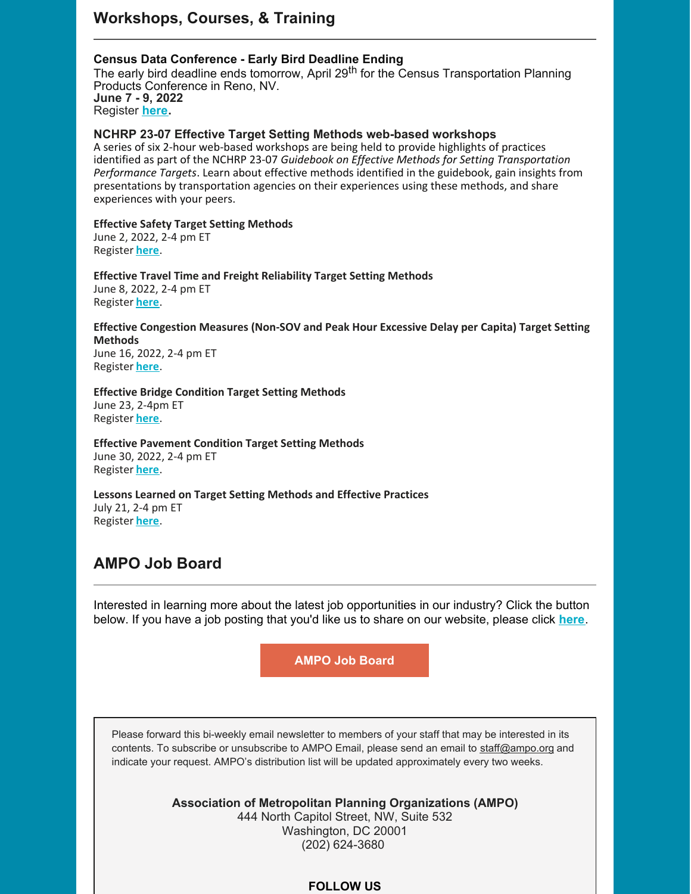#### **Census Data Conference - Early Bird Deadline Ending**

The early bird deadline ends tomorrow, April 29<sup>th</sup> for the Census Transportation Planning Products Conference in Reno, NV. **June 7 - 9, 2022** Register **[here](https://web.cvent.com/event/49dc3dc1-5a39-4dae-a96e-ac16afce09fd/websitePage:33bb36ed-69a1-42a4-85e6-6b25fb660a71).**

#### **NCHRP 23-07 Effective Target Setting Methods web-based workshops**

A series of six 2-hour web-based workshops are being held to provide highlights of practices identified as part of the NCHRP 23-07 *Guidebook on Effective Methods for Setting Transportation Performance Targets*. Learn about effective methods identified in the guidebook, gain insights from presentations by transportation agencies on their experiences using these methods, and share experiences with your peers.

#### **[Effective](https://us06web.zoom.us/webinar/register/WN_xUqFZhFGQ8iyZB3MGsxCOg) Safety Target Setting Methods**

June 2, 2022, 2-4 pm ET Register **[here](https://us06web.zoom.us/webinar/register/WN_xUqFZhFGQ8iyZB3MGsxCOg)**.

**Effective Travel Time and Freight Reliability Target Setting Methods** June 8, 2022, 2-4 pm ET Register **[here](https://us06web.zoom.us/webinar/register/WN_uUok-bfGR4K6oodRW2etkg)**.

### **Effective Congestion Measures (Non-SOV and Peak Hour Excessive Delay per Capita) Target Setting Methods**

June 16, 2022, 2-4 pm ET Register **[here](https://us06web.zoom.us/webinar/register/WN_M612D6QxSbOwlu7OU4wZOg)**.

#### **Effective Bridge Condition Target Setting Methods**

June 23, 2-4pm ET Register **[here](https://us06web.zoom.us/webinar/register/WN_ZZbZVXtWQkOQWLwXwCfPQQ)**.

#### **Effective Pavement Condition Target Setting Methods** June 30, 2022, 2-4 pm ET

Register **[here](https://us06web.zoom.us/webinar/register/WN__9zm3zWrRvGiS0ixbir7iQ)**.

#### **Lessons Learned on Target Setting Methods and Effective Practices** July 21, 2-4 pm ET Register **[here](https://us06web.zoom.us/webinar/register/WN_3fGixgkSTwSUlKeIMtOmQQ)**.

# **AMPO Job Board**

Interested in learning more about the latest job opportunities in our industry? Click the button below. If you have a job posting that you'd like us to share on our website, please click **[here](https://ampo.org/news-events/posting-policy-fees/)**.

**[AMPO](https://ampo.org/?post_type=mpo-career) Job Board**

Please forward this bi-weekly email newsletter to members of your staff that may be interested in its contents. To subscribe or unsubscribe to AMPO Email, please send an email to [staff@ampo.org](mailto:staff@ampo.org) and indicate your request. AMPO's distribution list will be updated approximately every two weeks.

> **Association of Metropolitan Planning Organizations (AMPO)** 444 North Capitol Street, NW, Suite 532 Washington, DC 20001 (202) 624-3680

#### **FOLLOW US**